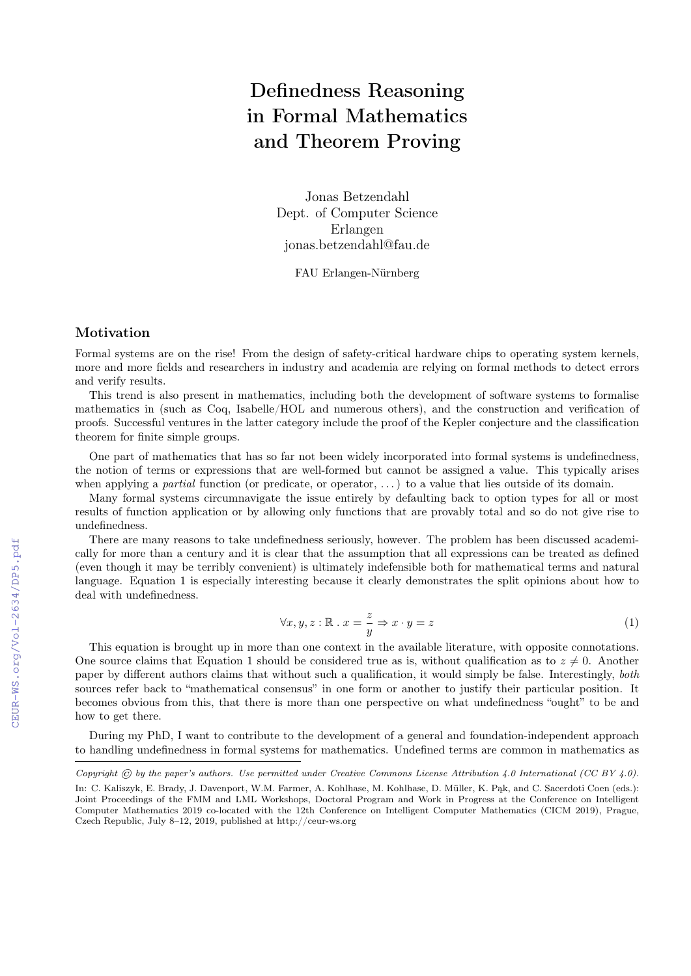## Definedness Reasoning in Formal Mathematics and Theorem Proving

Jonas Betzendahl Dept. of Computer Science Erlangen jonas.betzendahl@fau.de

FAU Erlangen-Nürnberg

## Motivation

Formal systems are on the rise! From the design of safety-critical hardware chips to operating system kernels, more and more fields and researchers in industry and academia are relying on formal methods to detect errors and verify results.

This trend is also present in mathematics, including both the development of software systems to formalise mathematics in (such as Coq, Isabelle/HOL and numerous others), and the construction and verification of proofs. Successful ventures in the latter category include the proof of the Kepler conjecture and the classification theorem for finite simple groups.

One part of mathematics that has so far not been widely incorporated into formal systems is undefinedness, the notion of terms or expressions that are well-formed but cannot be assigned a value. This typically arises when applying a *partial* function (or predicate, or operator,  $\ldots$ ) to a value that lies outside of its domain.

Many formal systems circumnavigate the issue entirely by defaulting back to option types for all or most results of function application or by allowing only functions that are provably total and so do not give rise to undefinedness.

There are many reasons to take undefinedness seriously, however. The problem has been discussed academically for more than a century and it is clear that the assumption that all expressions can be treated as defined (even though it may be terribly convenient) is ultimately indefensible both for mathematical terms and natural language. Equation 1 is especially interesting because it clearly demonstrates the split opinions about how to deal with undefinedness.

$$
\forall x, y, z : \mathbb{R} \ . \ x = \frac{z}{y} \Rightarrow x \cdot y = z \tag{1}
$$

This equation is brought up in more than one context in the available literature, with opposite connotations. One source claims that Equation 1 should be considered true as is, without qualification as to  $z \neq 0$ . Another paper by different authors claims that without such a qualification, it would simply be false. Interestingly, both sources refer back to "mathematical consensus" in one form or another to justify their particular position. It becomes obvious from this, that there is more than one perspective on what undefinedness "ought" to be and how to get there.

During my PhD, I want to contribute to the development of a general and foundation-independent approach to handling undefinedness in formal systems for mathematics. Undefined terms are common in mathematics as

Copyright  $\odot$  by the paper's authors. Use permitted under Creative Commons License Attribution 4.0 International (CC BY 4.0).

In: C. Kaliszyk, E. Brady, J. Davenport, W.M. Farmer, A. Kohlhase, M. Kohlhase, D. Müller, K. Pąk, and C. Sacerdoti Coen (eds.): Joint Proceedings of the FMM and LML Workshops, Doctoral Program and Work in Progress at the Conference on Intelligent Computer Mathematics 2019 co-located with the 12th Conference on Intelligent Computer Mathematics (CICM 2019), Prague, Czech Republic, July 8–12, 2019, published at http://ceur-ws.org